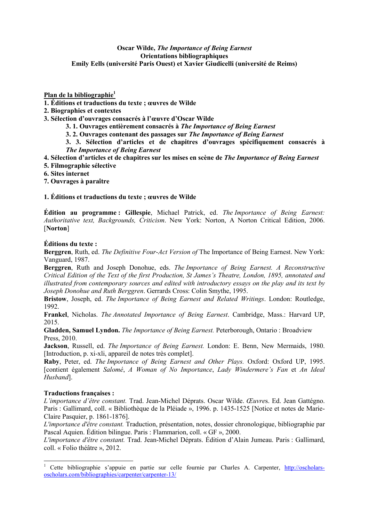### **Oscar Wilde,** *The Importance of Being Earnest*  **Orientations bibliographiques Emily Eells (université Paris Ouest) et Xavier Giudicelli (université de Reims)**

# **Plan de la bibliographie<sup>1</sup>**

- **1. Éditions et traductions du texte ; œuvres de Wilde**
- **2. Biographies et contextes**
- **3. Sélection d'ouvrages consacrés à l'œuvre d'Oscar Wilde** 
	- **3. 1. Ouvrages entièrement consacrés à** *The Importance of Being Earnest*
	- **3. 2. Ouvrages contenant des passages sur** *The Importance of Being Earnest*

**3. 3. Sélection d'articles et de chapitres d'ouvrages spécifiquement consacrés à**  *The Importance of Being Earnest*

- **4. Sélection d'articles et de chapitres sur les mises en scène de** *The Importance of Being Earnest*
- **5. Filmographie sélective**
- **6. Sites internet**
- **7. Ouvrages à paraître**

# **1. Éditions et traductions du texte ; œuvres de Wilde**

**Édition au programme : Gillespie**, Michael Patrick, ed. *The Importance of Being Earnest: Authoritative text, Backgrounds, Criticism*. New York: Norton, A Norton Critical Edition, 2006. [**6orton**]

# **Éditions du texte :**

**Berggren**, Ruth, ed. *The Definitive Four-Act Version of* The Importance of Being Earnest. New York: Vanguard, 1987.

**Berggren**, Ruth and Joseph Donohue, eds. *The Importance of Being Earnest. A Reconstructive Critical Edition of the Text of the first Production, St James's Theatre, London, 1895, annotated and illustrated from contemporary sources and edited with introductory essays on the play and its text by Joseph Donohue and Ruth Berggren*. Gerrards Cross: Colin Smythe, 1995.

**Bristow**, Joseph, ed. *The Importance of Being Earnest and Related Writings*. London: Routledge, 1992.

**Frankel**, Nicholas. *The Annotated Importance of Being Earnest*. Cambridge, Mass.: Harvard UP, 2015.

**Gladden, Samuel Lyndon.** *The Importance of Being Earnest.* Peterborough, Ontario : Broadview Press, 2010.

**Jackson**, Russell, ed. *The Importance of Being Earnest.* London: E. Benn, New Mermaids, 1980. [Introduction, p. xi-xli, appareil de notes très complet].

**Raby**, Peter, ed. *The Importance of Being Earnest and Other Plays.* Oxford: Oxford UP, 1995. [contient également *Salomé*, *A Woman of 3o Importance*, *Lady Windermere's Fan* et *An Ideal Husband*].

### **Traductions françaises :**

*L'importance d'être constant.* Trad. Jean-Michel Déprats. Oscar Wilde. *Œuvre*s. Ed. Jean Gattégno. Paris : Gallimard, coll. « Bibliothèque de la Pléiade », 1996. p. 1435-1525 [Notice et notes de Marie-Claire Pasquier, p. 1861-1876].

*L'importance d'être constant.* Traduction, présentation, notes, dossier chronologique, bibliographie par Pascal Aquien. Édition bilingue. Paris : Flammarion, coll. « GF », 2000.

*L'importance d'être constant.* Trad. Jean-Michel Déprats. Édition d'Alain Jumeau. Paris : Gallimard, coll. « Folio théâtre », 2012.

<sup>&</sup>lt;sup>1</sup> Cette bibliographie s'appuie en partie sur celle fournie par Charles A. Carpenter, http://oscholarsoscholars.com/bibliographies/carpenter/carpenter-13/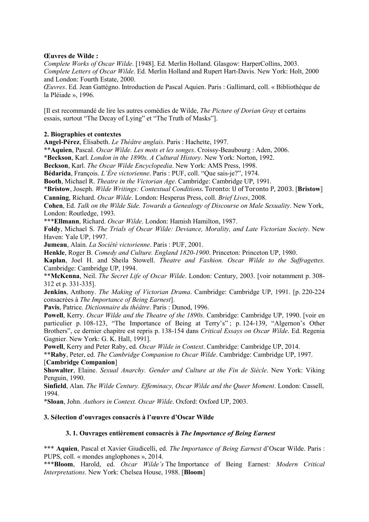### **Œuvres de Wilde :**

*Complete Works of Oscar Wilde*. [1948]. Ed. Merlin Holland. Glasgow: HarperCollins, 2003. *Complete Letters of Oscar Wilde*. Ed. Merlin Holland and Rupert Hart-Davis. New York: Holt, 2000 and London: Fourth Estate, 2000.

*Œuvres*. Ed. Jean Gattégno. Introduction de Pascal Aquien. Paris : Gallimard, coll. « Bibliothèque de la Pléiade », 1996.

[Il est recommandé de lire les autres comédies de Wilde, *The Picture of Dorian Gray* et certains essais, surtout "The Decay of Lying" et "The Truth of Masks"].

### **2. Biographies et contextes**

**Angel-Pérez**, Élisabeth. *Le Théâtre anglais*. Paris : Hachette, 1997.

\*\***Aquien**, Pascal. *Oscar Wilde. Les mots et les songes*. Croissy-Beaubourg : Aden, 2006.

\***Beckson**, Karl. *London in the 1890s. A Cultural History*. New York: Norton, 1992.

**Beckson**, Karl. *The Oscar Wilde Encyclopedia*. New York: AMS Press, 1998.

**Bédarida**, François. *L'Ère victorienne*. Paris : PUF, coll. "Que sais-je?", 1974.

**Booth**, Michael R. *Theatre in the Victorian Age*. Cambridge: Cambridge UP, 1991.

\***Bristow**, Joseph. *Wilde Writings: Contextual Conditions*. Toronto: U of Toronto P, 2003. [**Bristow**] **Canning**, Richard. *Oscar Wilde*. London: Hesperus Press, coll. *Brief Lives*, 2008.

**Cohen**, Ed. *Talk on the Wilde Side. Towards a Genealogy of Discourse on Male Sexuality*. New York, London: Routledge, 1993.

\*\*\***Ellmann**, Richard. *Oscar Wilde*. London: Hamish Hamilton, 1987.

**Foldy**, Michael S. *The Trials of Oscar Wilde: Deviance, Morality, and Late Victorian Society*. New Haven: Yale UP, 1997.

**Jumeau**, Alain. *La Société victorienne*. Paris : PUF, 2001.

**Henkle**, Roger B. *Comedy and Culture. England 1820-1900*. Princeton: Princeton UP, 1980.

**Kaplan**, Joel H. and Sheila Stowell. *Theatre and Fashion. Oscar Wilde to the Suffragettes.* Cambridge: Cambridge UP, 1994.

\*\***McKenna**, Neil. *The Secret Life of Oscar Wilde*. London: Century, 2003. [voir notamment p. 308- 312 et p. 331-335].

**Jenkins**, Anthony. *The Making of Victorian Drama*. Cambridge: Cambridge UP, 1991. [p. 220-224 consacrées à *The Importance of Being Earnest*].

**Pavis**, Patrice. *Dictionnaire du théâtre*. Paris : Dunod, 1996.

**Powell**, Kerry. *Oscar Wilde and the Theatre of the 1890s*. Cambridge: Cambridge UP, 1990. [voir en particulier p. 108-123, "The Importance of Being at Terry's"; p. 124-139, "Algernon's Other Brothers", ce dernier chapitre est repris p. 138-154 dans *Critical Essays on Oscar Wilde*. Ed. Regenia Gagnier. New York: G. K. Hall, 1991].

**Powell**, Kerry and Peter Raby, ed. *Oscar Wilde in Context*. Cambridge: Cambridge UP, 2014.

\*\***Raby**, Peter, ed. *The Cambridge Companion to Oscar Wilde*. Cambridge: Cambridge UP, 1997. [**Cambridge Companion**]

**Showalter**, Elaine. *Sexual Anarchy. Gender and Culture at the Fin de Siècle*. New York: Viking Penguin, 1990.

**Sinfield**, Alan. *The Wilde Century. Effeminacy, Oscar Wilde and the Queer Moment*. London: Cassell, 1994.

\***Sloan**, John. *Authors in Context. Oscar Wilde*. Oxford: Oxford UP, 2003.

### **3. Sélection d'ouvrages consacrés à l'œuvre d'Oscar Wilde**

### **3. 1. Ouvrages entièrement consacrés à** *The Importance of Being Earnest*

\*\*\* **Aquien**, Pascal et Xavier Giudicelli, ed. *The Importance of Being Earnest* d'Oscar Wilde. Paris : PUPS, coll. « mondes anglophones », 2014.

\*\*\***Bloom**, Harold, ed. *Oscar Wilde's* The Importance of Being Earnest*: Modern Critical Interpretations*. New York: Chelsea House, 1988. [**Bloom**]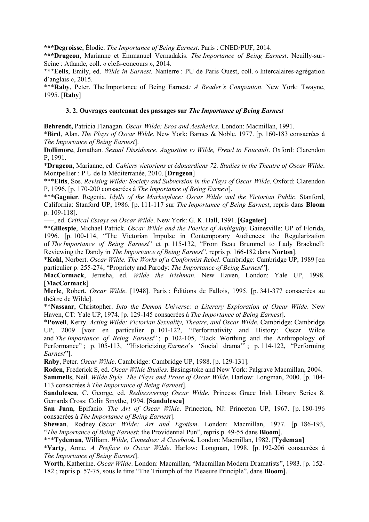**\*\*\*Degroisse**, Élodie. *The Importance of Being Earnest*. Paris : CNED/PUF, 2014.

**\*\*\*Drugeon**, Marianne et Emmanuel Vernadakis. *The Importance of Being Earnest*. Neuilly-sur-Seine : Atlande, coll. « clefs-concours », 2014.

**\*\*\*Eells**, Emily, ed. *Wilde in Earnest.* Nanterre : PU de Paris Ouest, coll. « Intercalaires-agrégation d'anglais », 2015.

\*\*\***Raby**, Peter. The Importance of Being Earnest*: A Reader's Companion*. New York: Twayne, 1995. [**Raby**]

#### **3. 2. Ouvrages contenant des passages sur** *The Importance of Being Earnest*

**Behrendt,** Patricia Flanagan. *Oscar Wilde: Eros and Aesthetics.* London: Macmillan, 1991.

\***Bird**, Alan. *The Plays of Oscar Wilde*. New York: Barnes & Noble, 1977. [p. 160-183 consacrées à *The Importance of Being Earnest*].

**Dollimore**, Jonathan. *Sexual Dissidence. Augustine to Wilde, Freud to Foucault*. Oxford: Clarendon P, 1991.

\***Drugeon**, Marianne, ed. *Cahiers victoriens et édouardiens 72. Studies in the Theatre of Oscar Wilde*. Montpellier : P U de la Méditerranée, 2010. [**Drugeon**]

\*\*\***Eltis**, Sos. *Revising Wilde: Society and Subversion in the Plays of Oscar Wilde*. Oxford: Clarendon P, 1996. [p. 170-200 consacrées à *The Importance of Being Earnest*].

\*\*\***Gagnier**, Regenia. *Idylls of the Marketplace: Oscar Wilde and the Victorian Public*. Stanford, California: Stanford UP, 1986. [p. 111-117 sur *The Importance of Being Earnest*, repris dans **Bloom**  p. 109-118].

—–, ed. *Critical Essays on Oscar Wilde*. New York: G. K. Hall, 1991. [**Gagnier**]

\*\***Gillespie**, Michael Patrick. *Oscar Wilde and the Poetics of Ambiguity*. Gainesville: UP of Florida, 1996. [p. 100-114, "The Victorian Impulse in Contemporary Audiences: the Regularization of *The Importance of Being Earnest*" et p. 115-132, "From Beau Brummel to Lady Bracknell: Reviewing the Dandy in *The Importance of Being Earnest*", repris p. 166-182 dans **Norton**].

\***Kohl**, Norbert. *Oscar Wilde. The Works of a Conformist Rebel*. Cambridge: Cambridge UP, 1989 [en particulier p. 255-274, "Propriety and Parody: *The Importance of Being Earnest*"].

**MacCormack**, Jerusha, ed. *Wilde the Irishman*. New Haven, London: Yale UP, 1998. [**MacCormack**]

**Merle**, Robert. *Oscar Wilde*. [1948]. Paris : Éditions de Fallois, 1995. [p. 341-377 consacrées au théâtre de Wilde].

\*\***6assaar**, Christopher. *Into the Demon Universe: a Literary Exploration of Oscar Wilde*. New Haven, CT: Yale UP, 1974. [p. 129-145 consacrées à *The Importance of Being Earnest*].

\***Powell**, Kerry. *Acting Wilde: Victorian Sexuality, Theatre, and Oscar Wilde*. Cambridge: Cambridge UP, 2009 [voir en particulier p. 101-122, "Performativity and History: Oscar Wilde and *The Importance of Being Earnest*" ; p. 102-105, "Jack Worthing and the Anthropology of Performance" ; p. 105-113, "Historicizing *Earnest*'s 'Social drama'" ; p. 114-122, "Performing *Earnest*"].

**Raby**, Peter. *Oscar Wilde*. Cambridge: Cambridge UP, 1988. [p. 129-131].

**Roden**, Frederick S, ed. *Oscar Wilde Studies*. Basingstoke and New York: Palgrave Macmillan, 2004.

**Sammells**, Neil. *Wilde Style. The Plays and Prose of Oscar Wilde*. Harlow: Longman, 2000. [p. 104- 113 consacrées à *The Importance of Being Earnest*].

**Sandulescu**, C. George, ed. *Rediscovering Oscar Wilde*. Princess Grace Irish Library Series 8. Gerrards Cross: Colin Smythe, 1994. [**Sandulescu**]

**San Juan**, Epifanio. *The Art of Oscar Wilde*. Princeton, NJ: Princeton UP, 1967. [p. 180-196 consacrées à *The Importance of Being Earnest*].

**Shewan**, Rodney. *Oscar Wilde: Art and Egotism*. London: Macmillan, 1977. [p. 186-193, "*The Importance of Being Earnest*: the Providential Pun", repris p. 49-55 dans **Bloom**].

\*\*\***Tydeman**, William. *Wilde, Comedies: A Casebook*. London: Macmillan, 1982. [**Tydeman**]

\***Varty**, Anne. *A Preface to Oscar Wilde*. Harlow: Longman, 1998. [p. 192-206 consacrées à *The Importance of Being Earnest*].

**Worth**, Katherine. *Oscar Wilde*. London: Macmillan, "Macmillan Modern Dramatists", 1983. [p. 152- 182 ; repris p. 57-75, sous le titre "The Triumph of the Pleasure Principle", dans **Bloom**].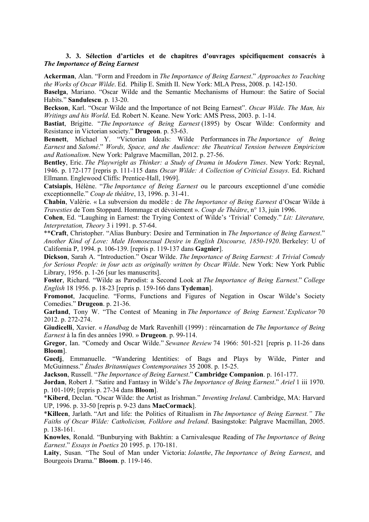#### **3. 3. Sélection d'articles et de chapitres d'ouvrages spécifiquement consacrés à**  *The Importance of Being Earnest*

**Ackerman**, Alan. "Form and Freedom in *The Importance of Being Earnest*." *Approaches to Teaching the Works of Oscar Wilde*. Ed. Philip E. Smith II. New York: MLA Press, 2008. p. 142-150.

**Baselga**, Mariano. "Oscar Wilde and the Semantic Mechanisms of Humour: the Satire of Social Habits." **Sandulescu**. p. 13-20.

**Beckson**, Karl. "Oscar Wilde and the Importance of not Being Earnest". *Oscar Wilde. The Man, his Writings and his World*. Ed. Robert N. Keane. New York: AMS Press, 2003. p. 1-14.

**Bastiat**, Brigitte. "*The Importance of Being Earnest* (1895) by Oscar Wilde: Conformity and Resistance in Victorian society." **Drugeon**. p. 53-63.

**Bennett**, Michael Y. "Victorian Ideals: Wilde Performances in *The Importance of Being Earnest* and *Salomé*." *Words, Space, and the Audience: the Theatrical Tension between Empiricism and Rationalism*. New York: Palgrave Macmillan, 2012. p. 27-56.

**Bentley**, Eric. *The Playwright as Thinker: a Study of Drama in Modern Times*. New York: Reynal, 1946. p. 172-177 [repris p. 111-115 dans *Oscar Wilde: A Collection of Criticial Essays*. Ed. Richard Ellmann. Englewood Cliffs: Prentice-Hall, 1969].

**Catsiapis**, Hélène. "*The Importance of Being Earnest* ou le parcours exceptionnel d'une comédie exceptionnelle." *Coup de théâtre*, 13, 1996. p. 31-41.

**Chabin**, Valérie. « La subversion du modèle : de *The Importance of Being Earnest* d'Oscar Wilde à *Travesties* de Tom Stoppard. Hommage et dévoiement ». *Coup de Théâtre*, n° 13, juin 1996.

**Cohen**, Ed. "Laughing in Earnest: the Trying Context of Wilde's 'Trivial' Comedy." *Lit: Literature, Interpretation, Theory* 3 i 1991. p. 57-64.

\*\***Craft**, Christopher. "Alias Bunbury: Desire and Termination in *The Importance of Being Earnest*." *Another Kind of Love: Male Homosexual Desire in English Discourse, 1850-1920*. Berkeley: U of California P, 1994. p. 106-139. [repris p. 119-137 dans **Gagnier**].

**Dickson**, Sarah A. "Introduction." Oscar Wilde. *The Importance of Being Earnest: A Trivial Comedy for Serious People: in four acts as originally written by Oscar Wilde*. New York: New York Public Library, 1956. p. 1-26 [sur les manuscrits].

**Foster**, Richard. "Wilde as Parodist: a Second Look at *The Importance of Being Earnest*." *College English* 18 1956. p. 18-23 [repris p. 159-166 dans **Tydeman**].

**Fromonot**, Jacqueline. "Forms, Functions and Figures of Negation in Oscar Wilde's Society Comedies." **Drugeon**. p. 21-36.

**Garland**, Tony W. "The Contest of Meaning in *The Importance of Being Earnest*.'*Explicator* 70 2012. p. 272-274.

**Giudicelli**, Xavier. « *Handbag* de Mark Ravenhill (1999) : réincarnation de *The Importance of Being Earnest* à la fin des années 1990. » **Drugeon**. p. 99-114.

**Gregor**, Ian. "Comedy and Oscar Wilde." *Sewanee Review* 74 1966: 501-521 [repris p. 11-26 dans **Bloom**].

**Guedj**, Emmanuelle. "Wandering Identities: of Bags and Plays by Wilde, Pinter and McGuinness." *Études Britanniques Contemporaines* 35 2008. p. 15-25.

**Jackson**, Russell. "*The Importance of Being Earnest*." **Cambridge Companion**. p. 161-177.

**Jordan**, Robert J. "Satire and Fantasy in Wilde's *The Importance of Being Earnest*." *Ariel* 1 iii 1970. p. 101-109; [repris p. 27-34 dans **Bloom**].

\***Kiberd**, Declan. "Oscar Wilde: the Artist as Irishman." *Inventing Ireland*. Cambridge, MA: Harvard UP, 1996. p. 33-50 [repris p. 9-23 dans **MacCormack**].

\***Killeen**, Jarlath. "Art and life: the Politics of Ritualism in *The Importance of Being Earnest." The Faiths of Oscar Wilde: Catholicism, Folklore and Ireland*. Basingstoke: Palgrave Macmillan, 2005. p. 138-161.

**Knowles**, Ronald. "Bunburying with Bakhtin: a Carnivalesque Reading of *The Importance of Being Earnest*." *Essays in Poetics* 20 1995. p. 170-181.

**Laity**, Susan. "The Soul of Man under Victoria: *Iolanthe*, *The Importance of Being Earnest*, and Bourgeois Drama." **Bloom**. p. 119-146.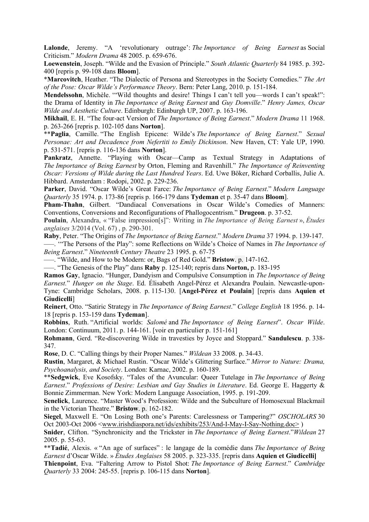**Lalonde**, Jeremy. "A 'revolutionary outrage': *The Importance of Being Earnest* as Social Criticism." *Modern Drama* 48 2005. p. 659-676.

**Loewenstein**, Joseph. "Wilde and the Evasion of Principle." *South Atlantic Quarterly* 84 1985. p. 392- 400 [repris p. 99-108 dans **Bloom**].

\***Marcovitch**, Heather. "The Dialectic of Persona and Stereotypes in the Society Comedies." *The Art of the Pose: Oscar Wilde's Performance Theory*. Bern: Peter Lang, 2010. p. 151-184.

**Mendelssohn**, Michèle. '"Wild thoughts and desire! Things I can't tell you—words I can't speak!": the Drama of Identity in *The Importance of Being Earnest* and *Guy Domville*." *Henry James, Oscar Wilde and Aesthetic Culture*. Edinburgh: Edinburgh UP, 2007. p. 163-196.

**Mikhail**, E. H. "The four-act Version of *The Importance of Being Earnest*." *Modern Drama* 11 1968. p. 263-266 [repris p. 102-105 dans **6orton**].

\*\***Paglia**, Camille. "The English Epicene: Wilde's *The Importance of Being Earnest*." *Sexual Personae: Art and Decadence from 3efertiti to Emily Dickinson*. New Haven, CT: Yale UP, 1990. p. 531-571. [repris p. 116-136 dans **6orton**].

**Pankratz**, Annette. "Playing with Oscar—Camp as Textual Strategy in Adaptations of *The Importance of Being Earnest* by Orton, Fleming and Ravenhill." *The Importance of Reinventing Oscar: Versions of Wilde during the Last Hundred Years*. Ed. Uwe Böker, Richard Corballis, Julie A. Hibbard. Amsterdam : Rodopi, 2002. p. 229-236.

**Parker**, David. "Oscar Wilde's Great Farce: *The Importance of Being Earnest*." *Modern Language Quarterly* 35 1974. p. 173-86 [repris p. 166-179 dans **Tydeman** et p. 35-47 dans **Bloom**].

**Pham-Thahn**, Gilbert. "Dandiacal Conversations in Oscar Wilde's Comedies of Manners: Conventions, Conversions and Reconfigurations of Phallogocentrism." **Drugeon**. p. 37-52.

**Poulain**, Alexandra, « "False impression[s]": Writing in *The Importance of Being Earnest* », *Études anglaises* 3/2014 (Vol. 67) , p. 290-301.

**Raby**, Peter. "The Origins of *The Importance of Being Earnest*." *Modern Drama* 37 1994. p. 139-147.

—–. '"The Persons of the Play": some Reflections on Wilde's Choice of Names in *The Importance of Being Earnest*." *3ineteenth Century Theatre* 23 1995. p. 67-75

—–. "Wilde, and How to be Modern: or, Bags of Red Gold." **Bristow**. p. 147-162.

—–. "The Genesis of the Play" dans **Raby** p. 125-140; repris dans **Norton**, p. 183-195

**Ramos Gay**, Ignacio. "Hunger, Dandyism and Compulsive Consumption in *The Importance of Being Earnest.*" *Hunger on the Stage*. Ed. Élisabeth Angel-Pérez et Alexandra Poulain. Newcastle-upon-Tyne: Cambridge Scholars, 2008. p. 115-130. [**Angel-Pérez et Poulain**] [repris dans **Aquien et Giudicelli**]

**Reinert**, Otto. "Satiric Strategy in *The Importance of Being Earnest*." *College English* 18 1956. p. 14- 18 [repris p. 153-159 dans **Tydeman**].

**Robbins**, Ruth. "Artificial worlds: *Salomé* and *The Importance of Being Earnest*". *Oscar Wilde*. London: Continuum, 2011. p. 144-161. [voir en particulier p. 151-161]

**Rohmann**, Gerd. "Re-discovering Wilde in travesties by Joyce and Stoppard." **Sandulescu**. p. 338- 347.

**Rose**, D. C. "Calling things by their Proper Names." *Wildean* 33 2008. p. 34-43.

Rustin, Margaret, & Michael Rustin. "Oscar Wilde's Glittering Surface." *Mirror to Nature: Drama, Psychoanalysis, and Society*. London: Karnac, 2002. p. 160-189.

\*\***Sedgwick**, Eve Kosofsky. "Tales of the Avuncular: Queer Tutelage in *The Importance of Being Earnest*." *Professions of Desire: Lesbian and Gay Studies in Literature*. Ed. George E. Haggerty & Bonnie Zimmerman. New York: Modern Language Association, 1995. p. 191-209.

**Senelick**, Laurence. "Master Wood's Profession: Wilde and the Subculture of Homosexual Blackmail in the Victorian Theatre." **Bristow**. p. 162-182.

**Siegel**, Maxwell E. "On Losing Both one's Parents: Carelessness or Tampering?" *OSCHOLARS* 30 Oct 2003-Oct 2006 <www.irishdiaspora.net/ids/exhibits/253/And-I-May-I-Say-Nothing.doc> )

**Snider**, Clifton. "Synchronicity and the Trickster in *The Importance of Being Earnest*."*Wildean* 27 2005. p. 55-63.

\*\***Tadié**, Alexis. « "An age of surfaces" : le langage de la comédie dans *The Importance of Being Earnest* d'Oscar Wilde. » *Études Anglaises* 58 2005. p. 323-335. [repris dans **Aquien et Giudicelli]**

**Thienpoint**, Eva. "Faltering Arrow to Pistol Shot: *The Importance of Being Earnest*." *Cambridge Quarterly* 33 2004: 245-55. [repris p. 106-115 dans **Norton**].